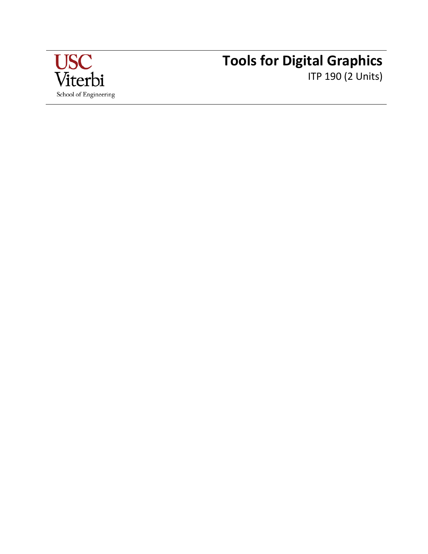

# **Tools for Digital Graphics** ITP 190 (2 Units)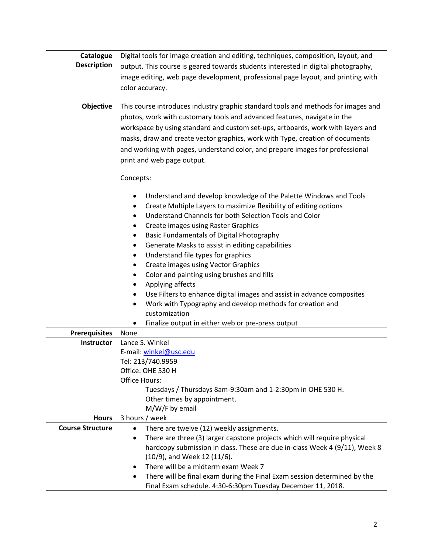| Catalogue<br><b>Description</b>           | Digital tools for image creation and editing, techniques, composition, layout, and<br>output. This course is geared towards students interested in digital photography,                                                                                                                                                                                                                                                                                                                                                                                                                                                                                                                                                                                 |  |
|-------------------------------------------|---------------------------------------------------------------------------------------------------------------------------------------------------------------------------------------------------------------------------------------------------------------------------------------------------------------------------------------------------------------------------------------------------------------------------------------------------------------------------------------------------------------------------------------------------------------------------------------------------------------------------------------------------------------------------------------------------------------------------------------------------------|--|
|                                           | image editing, web page development, professional page layout, and printing with<br>color accuracy.                                                                                                                                                                                                                                                                                                                                                                                                                                                                                                                                                                                                                                                     |  |
| Objective                                 | This course introduces industry graphic standard tools and methods for images and<br>photos, work with customary tools and advanced features, navigate in the<br>workspace by using standard and custom set-ups, artboards, work with layers and<br>masks, draw and create vector graphics, work with Type, creation of documents<br>and working with pages, understand color, and prepare images for professional<br>print and web page output.                                                                                                                                                                                                                                                                                                        |  |
|                                           | Concepts:<br>Understand and develop knowledge of the Palette Windows and Tools<br>٠<br>Create Multiple Layers to maximize flexibility of editing options<br>٠<br>Understand Channels for both Selection Tools and Color<br>٠<br>Create images using Raster Graphics<br>$\bullet$<br>Basic Fundamentals of Digital Photography<br>٠<br>Generate Masks to assist in editing capabilities<br>٠<br>Understand file types for graphics<br>$\bullet$<br><b>Create images using Vector Graphics</b><br>٠<br>Color and painting using brushes and fills<br>٠<br>Applying affects<br>$\bullet$<br>Use Filters to enhance digital images and assist in advance composites<br>٠<br>Work with Typography and develop methods for creation and<br>٠<br>customization |  |
|                                           | Finalize output in either web or pre-press output<br>٠                                                                                                                                                                                                                                                                                                                                                                                                                                                                                                                                                                                                                                                                                                  |  |
| <b>Prerequisites</b><br><b>Instructor</b> | None<br>Lance S. Winkel                                                                                                                                                                                                                                                                                                                                                                                                                                                                                                                                                                                                                                                                                                                                 |  |
|                                           | E-mail: winkel@usc.edu<br>Tel: 213/740.9959<br>Office: OHE 530 H<br>Office Hours:<br>Tuesdays / Thursdays 8am-9:30am and 1-2:30pm in OHE 530 H.<br>Other times by appointment.<br>M/W/F by email                                                                                                                                                                                                                                                                                                                                                                                                                                                                                                                                                        |  |
| <b>Hours</b>                              | 3 hours / week                                                                                                                                                                                                                                                                                                                                                                                                                                                                                                                                                                                                                                                                                                                                          |  |
| <b>Course Structure</b>                   | There are twelve (12) weekly assignments.<br>٠<br>There are three (3) larger capstone projects which will require physical<br>$\bullet$<br>hardcopy submission in class. These are due in-class Week 4 (9/11), Week 8<br>(10/9), and Week 12 (11/6).<br>There will be a midterm exam Week 7<br>٠<br>There will be final exam during the Final Exam session determined by the<br>$\bullet$<br>Final Exam schedule. 4:30-6:30pm Tuesday December 11, 2018.                                                                                                                                                                                                                                                                                                |  |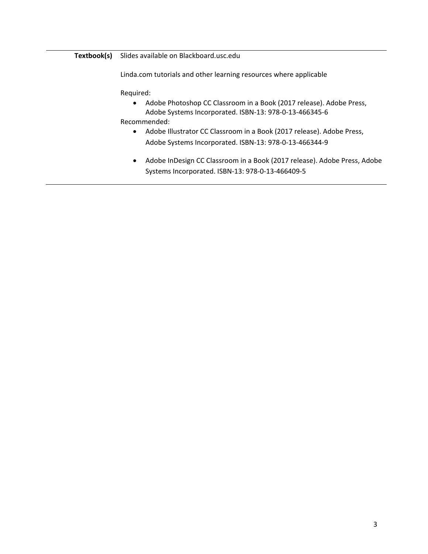# **Textbook(s)** Slides available on Blackboard.usc.edu

Linda.com tutorials and other learning resources where applicable

Required:

- Adobe Photoshop CC Classroom in a Book (2017 release). Adobe Press, Adobe Systems Incorporated. ISBN-13: 978-0-13-466345-6
- Recommended:
	- Adobe Illustrator CC Classroom in a Book (2017 release). Adobe Press, Adobe Systems Incorporated. ISBN-13: 978-0-13-466344-9
	- Adobe InDesign CC Classroom in a Book (2017 release). Adobe Press, Adobe Systems Incorporated. ISBN-13: 978-0-13-466409-5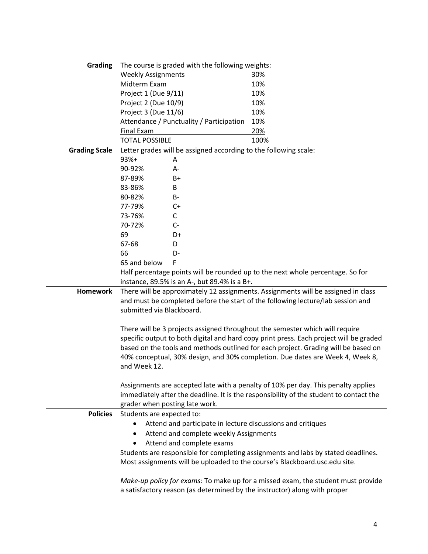| Grading              | The course is graded with the following weights:                                                                                                                       |                                                                                        |  |
|----------------------|------------------------------------------------------------------------------------------------------------------------------------------------------------------------|----------------------------------------------------------------------------------------|--|
|                      | <b>Weekly Assignments</b>                                                                                                                                              | 30%                                                                                    |  |
|                      | Midterm Exam                                                                                                                                                           | 10%                                                                                    |  |
|                      | Project 1 (Due 9/11)                                                                                                                                                   | 10%                                                                                    |  |
|                      | Project 2 (Due 10/9)                                                                                                                                                   | 10%                                                                                    |  |
|                      | Project 3 (Due 11/6)                                                                                                                                                   | 10%                                                                                    |  |
|                      | Attendance / Punctuality / Participation                                                                                                                               | 10%                                                                                    |  |
|                      | <b>Final Exam</b>                                                                                                                                                      | 20%                                                                                    |  |
|                      | <b>TOTAL POSSIBLE</b>                                                                                                                                                  | 100%                                                                                   |  |
| <b>Grading Scale</b> | Letter grades will be assigned according to the following scale:                                                                                                       |                                                                                        |  |
|                      | $93%+$<br>Α                                                                                                                                                            |                                                                                        |  |
|                      | 90-92%<br>A-                                                                                                                                                           |                                                                                        |  |
|                      | 87-89%<br>B+                                                                                                                                                           |                                                                                        |  |
|                      | 83-86%<br>B                                                                                                                                                            |                                                                                        |  |
|                      | 80-82%<br>B-                                                                                                                                                           |                                                                                        |  |
|                      | 77-79%<br>C+                                                                                                                                                           |                                                                                        |  |
|                      | 73-76%<br>C                                                                                                                                                            |                                                                                        |  |
|                      | 70-72%<br>$C-$                                                                                                                                                         |                                                                                        |  |
|                      | 69<br>D+                                                                                                                                                               |                                                                                        |  |
|                      | 67-68<br>D                                                                                                                                                             |                                                                                        |  |
|                      | 66<br>D-                                                                                                                                                               |                                                                                        |  |
|                      | 65 and below<br>F                                                                                                                                                      |                                                                                        |  |
|                      |                                                                                                                                                                        |                                                                                        |  |
|                      | Half percentage points will be rounded up to the next whole percentage. So for<br>instance, 89.5% is an A-, but 89.4% is a B+.                                         |                                                                                        |  |
| <b>Homework</b>      |                                                                                                                                                                        |                                                                                        |  |
|                      | There will be approximately 12 assignments. Assignments will be assigned in class<br>and must be completed before the start of the following lecture/lab session and   |                                                                                        |  |
|                      | submitted via Blackboard.                                                                                                                                              |                                                                                        |  |
|                      |                                                                                                                                                                        |                                                                                        |  |
|                      |                                                                                                                                                                        |                                                                                        |  |
|                      | There will be 3 projects assigned throughout the semester which will require<br>specific output to both digital and hard copy print press. Each project will be graded |                                                                                        |  |
|                      |                                                                                                                                                                        |                                                                                        |  |
|                      | based on the tools and methods outlined for each project. Grading will be based on<br>40% conceptual, 30% design, and 30% completion. Due dates are Week 4, Week 8,    |                                                                                        |  |
|                      | and Week 12.                                                                                                                                                           |                                                                                        |  |
|                      |                                                                                                                                                                        |                                                                                        |  |
|                      | Assignments are accepted late with a penalty of 10% per day. This penalty applies                                                                                      |                                                                                        |  |
|                      |                                                                                                                                                                        | immediately after the deadline. It is the responsibility of the student to contact the |  |
|                      | grader when posting late work.                                                                                                                                         |                                                                                        |  |
| <b>Policies</b>      | Students are expected to:                                                                                                                                              |                                                                                        |  |
|                      | Attend and participate in lecture discussions and critiques<br>$\bullet$                                                                                               |                                                                                        |  |
|                      | Attend and complete weekly Assignments<br>$\bullet$                                                                                                                    |                                                                                        |  |
|                      |                                                                                                                                                                        |                                                                                        |  |
|                      | Attend and complete exams                                                                                                                                              |                                                                                        |  |
|                      |                                                                                                                                                                        | Students are responsible for completing assignments and labs by stated deadlines.      |  |
|                      | Most assignments will be uploaded to the course's Blackboard.usc.edu site.                                                                                             |                                                                                        |  |
|                      |                                                                                                                                                                        | Make-up policy for exams: To make up for a missed exam, the student must provide       |  |
|                      | a satisfactory reason (as determined by the instructor) along with proper                                                                                              |                                                                                        |  |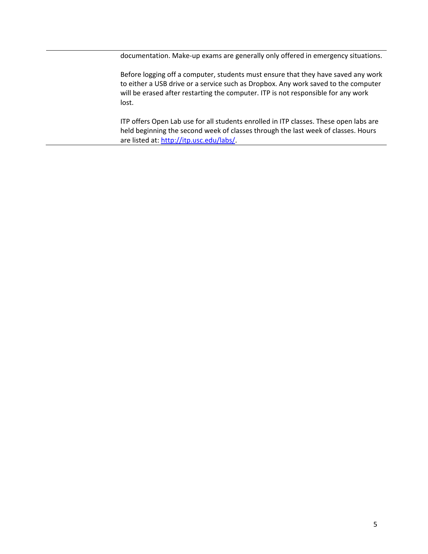documentation. Make-up exams are generally only offered in emergency situations.

Before logging off a computer, students must ensure that they have saved any work to either a USB drive or a service such as Dropbox. Any work saved to the computer will be erased after restarting the computer. ITP is not responsible for any work lost.

ITP offers Open Lab use for all students enrolled in ITP classes. These open labs are held beginning the second week of classes through the last week of classes. Hours are listed at: [http://itp.usc.edu/labs/.](http://itp.usc.edu/labs/)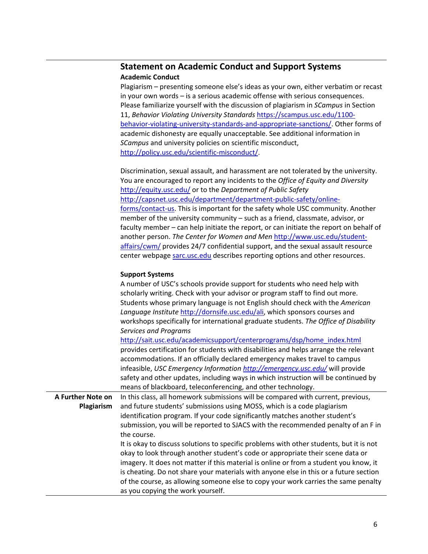# **Statement on Academic Conduct and Support Systems Academic Conduct**

Plagiarism – presenting someone else's ideas as your own, either verbatim or recast in your own words – is a serious academic offense with serious consequences. Please familiarize yourself with the discussion of plagiarism in *SCampus* in Section 11, *Behavior Violating University Standards* [https://scampus.usc.edu/1100](https://scampus.usc.edu/1100-behavior-violating-university-standards-and-appropriate-sanctions/) [behavior-violating-university-standards-and-appropriate-sanctions/.](https://scampus.usc.edu/1100-behavior-violating-university-standards-and-appropriate-sanctions/) Other forms of academic dishonesty are equally unacceptable. See additional information in *SCampus* and university policies on scientific misconduct, [http://policy.usc.edu/scientific-misconduct/.](http://policy.usc.edu/scientific-misconduct/)

Discrimination, sexual assault, and harassment are not tolerated by the university. You are encouraged to report any incidents to the *Office of Equity and Diversity*  <http://equity.usc.edu/> or to the *Department of Public Safety*  [http://capsnet.usc.edu/department/department-public-safety/online](http://capsnet.usc.edu/department/department-public-safety/online-forms/contact-us)[forms/contact-us.](http://capsnet.usc.edu/department/department-public-safety/online-forms/contact-us) This is important for the safety whole USC community. Another member of the university community – such as a friend, classmate, advisor, or faculty member – can help initiate the report, or can initiate the report on behalf of another person. *The Center for Women and Men* [http://www.usc.edu/student](http://www.usc.edu/student-affairs/cwm/)[affairs/cwm/](http://www.usc.edu/student-affairs/cwm/) provides 24/7 confidential support, and the sexual assault resource center webpage [sarc.usc.edu](http://sarc.usc.edu/) describes reporting options and other resources.

# **Support Systems**

|                   | A number of USC's schools provide support for students who need help with               |  |  |
|-------------------|-----------------------------------------------------------------------------------------|--|--|
|                   | scholarly writing. Check with your advisor or program staff to find out more.           |  |  |
|                   | Students whose primary language is not English should check with the American           |  |  |
|                   | Language Institute http://dornsife.usc.edu/ali, which sponsors courses and              |  |  |
|                   | workshops specifically for international graduate students. The Office of Disability    |  |  |
|                   | Services and Programs                                                                   |  |  |
|                   | http://sait.usc.edu/academicsupport/centerprograms/dsp/home_index.html                  |  |  |
|                   | provides certification for students with disabilities and helps arrange the relevant    |  |  |
|                   | accommodations. If an officially declared emergency makes travel to campus              |  |  |
|                   | infeasible, USC Emergency Information http://emergency.usc.edu/ will provide            |  |  |
|                   | safety and other updates, including ways in which instruction will be continued by      |  |  |
|                   | means of blackboard, teleconferencing, and other technology.                            |  |  |
| A Further Note on | In this class, all homework submissions will be compared with current, previous,        |  |  |
| Plagiarism        | and future students' submissions using MOSS, which is a code plagiarism                 |  |  |
|                   | identification program. If your code significantly matches another student's            |  |  |
|                   | submission, you will be reported to SJACS with the recommended penalty of an F in       |  |  |
|                   | the course.                                                                             |  |  |
|                   | It is okay to discuss solutions to specific problems with other students, but it is not |  |  |
|                   | okay to look through another student's code or appropriate their scene data or          |  |  |
|                   | imagery. It does not matter if this material is online or from a student you know, it   |  |  |
|                   | is cheating. Do not share your materials with anyone else in this or a future section   |  |  |
|                   | of the course, as allowing someone else to copy your work carries the same penalty      |  |  |
|                   | as you copying the work yourself.                                                       |  |  |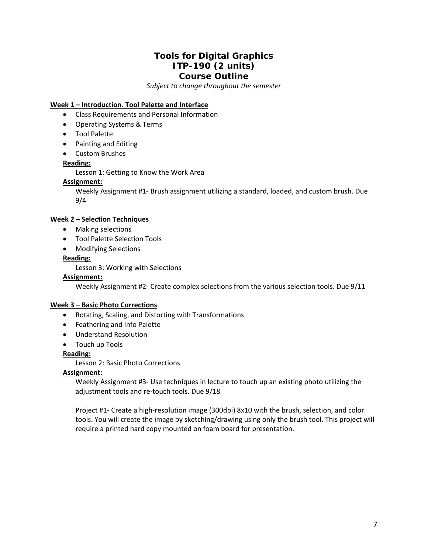# **Tools for Digital Graphics ITP-190 (2 units) Course Outline**

*Subject to change throughout the semester*

# **Week 1 – Introduction. Tool Palette and Interface**

- Class Requirements and Personal Information
- Operating Systems & Terms
- Tool Palette
- Painting and Editing
- Custom Brushes

# **Reading:**

Lesson 1: Getting to Know the Work Area

#### **Assignment:**

Weekly Assignment #1- Brush assignment utilizing a standard, loaded, and custom brush. Due 9/4

#### **Week 2 – Selection Techniques**

- Making selections
- Tool Palette Selection Tools
- Modifying Selections

# **Reading:**

Lesson 3: Working with Selections

#### **Assignment:**

Weekly Assignment #2- Create complex selections from the various selection tools. Due 9/11

## **Week 3 – Basic Photo Corrections**

- Rotating, Scaling, and Distorting with Transformations
- Feathering and Info Palette
- Understand Resolution
- Touch up Tools

# **Reading:**

Lesson 2: Basic Photo Corrections

#### **Assignment:**

Weekly Assignment #3- Use techniques in lecture to touch up an existing photo utilizing the adjustment tools and re-touch tools. Due 9/18

Project #1- Create a high-resolution image (300dpi) 8x10 with the brush, selection, and color tools. You will create the image by sketching/drawing using only the brush tool. This project will require a printed hard copy mounted on foam board for presentation.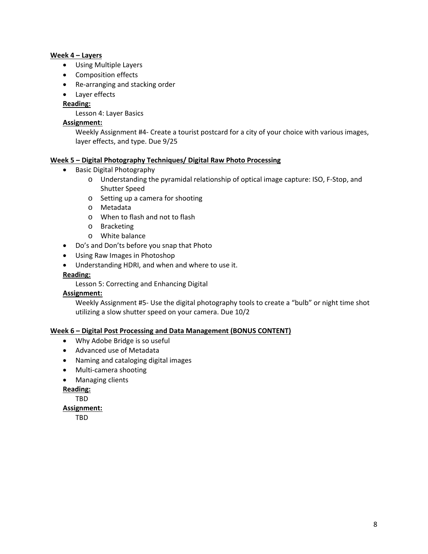#### **Week 4 – Layers**

- Using Multiple Layers
- Composition effects
- Re-arranging and stacking order
- Layer effects

# **Reading:**

Lesson 4: Layer Basics

# **Assignment:**

Weekly Assignment #4- Create a tourist postcard for a city of your choice with various images, layer effects, and type. Due 9/25

# **Week 5 – Digital Photography Techniques/ Digital Raw Photo Processing**

- Basic Digital Photography
	- o Understanding the pyramidal relationship of optical image capture: ISO, F-Stop, and Shutter Speed
	- o Setting up a camera for shooting
	- o Metadata
	- o When to flash and not to flash
	- o Bracketing
	- o White balance
- Do's and Don'ts before you snap that Photo
- Using Raw Images in Photoshop
- Understanding HDRI, and when and where to use it.
- **Reading:**

Lesson 5: Correcting and Enhancing Digital

#### **Assignment:**

Weekly Assignment #5- Use the digital photography tools to create a "bulb" or night time shot utilizing a slow shutter speed on your camera. Due 10/2

#### **Week 6 – Digital Post Processing and Data Management (BONUS CONTENT)**

- Why Adobe Bridge is so useful
- Advanced use of Metadata
- Naming and cataloging digital images
- Multi-camera shooting
- Managing clients
- **Reading:**

TBD

#### **Assignment:**

TBD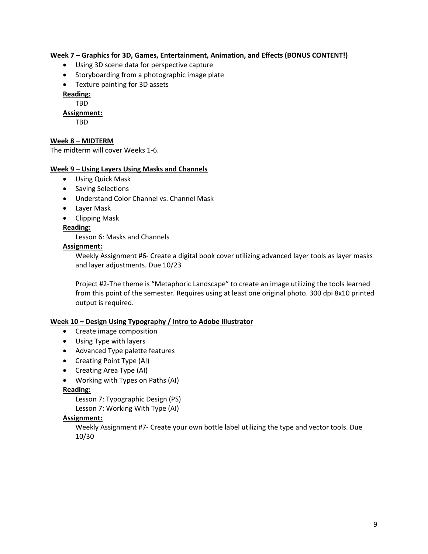## **Week 7 – Graphics for 3D, Games, Entertainment, Animation, and Effects (BONUS CONTENT!)**

- Using 3D scene data for perspective capture
- Storyboarding from a photographic image plate
- Texture painting for 3D assets

**Reading:**

TBD

# **Assignment:**

TBD

# **Week 8 – MIDTERM**

The midterm will cover Weeks 1-6.

#### **Week 9 – Using Layers Using Masks and Channels**

- Using Quick Mask
- Saving Selections
- Understand Color Channel vs. Channel Mask
- Layer Mask
- Clipping Mask
- **Reading:**

Lesson 6: Masks and Channels

#### **Assignment:**

Weekly Assignment #6- Create a digital book cover utilizing advanced layer tools as layer masks and layer adjustments. Due 10/23

Project #2-The theme is "Metaphoric Landscape" to create an image utilizing the tools learned from this point of the semester. Requires using at least one original photo. 300 dpi 8x10 printed output is required.

#### **Week 10 – Design Using Typography / Intro to Adobe Illustrator**

- Create image composition
- Using Type with layers
- Advanced Type palette features
- Creating Point Type (AI)
- Creating Area Type (AI)
- Working with Types on Paths (AI)

#### **Reading:**

Lesson 7: Typographic Design (PS)

Lesson 7: Working With Type (AI)

#### **Assignment:**

Weekly Assignment #7- Create your own bottle label utilizing the type and vector tools. Due 10/30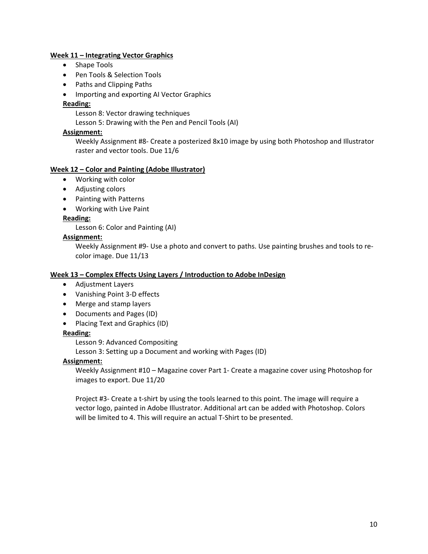#### **Week 11 – Integrating Vector Graphics**

- Shape Tools
- Pen Tools & Selection Tools
- Paths and Clipping Paths
- Importing and exporting AI Vector Graphics

#### **Reading:**

Lesson 8: Vector drawing techniques

Lesson 5: Drawing with the Pen and Pencil Tools (AI)

#### **Assignment:**

Weekly Assignment #8- Create a posterized 8x10 image by using both Photoshop and Illustrator raster and vector tools. Due 11/6

#### **Week 12 – Color and Painting (Adobe Illustrator)**

- Working with color
- Adjusting colors
- Painting with Patterns
- Working with Live Paint

#### **Reading:**

Lesson 6: Color and Painting (AI)

#### **Assignment:**

Weekly Assignment #9- Use a photo and convert to paths. Use painting brushes and tools to recolor image. Due 11/13

#### **Week 13 – Complex Effects Using Layers / Introduction to Adobe InDesign**

- Adjustment Layers
- Vanishing Point 3-D effects
- Merge and stamp layers
- Documents and Pages (ID)
- Placing Text and Graphics (ID)

#### **Reading:**

Lesson 9: Advanced Compositing

Lesson 3: Setting up a Document and working with Pages (ID)

#### **Assignment:**

Weekly Assignment #10 – Magazine cover Part 1- Create a magazine cover using Photoshop for images to export. Due 11/20

Project #3- Create a t-shirt by using the tools learned to this point. The image will require a vector logo, painted in Adobe Illustrator. Additional art can be added with Photoshop. Colors will be limited to 4. This will require an actual T-Shirt to be presented.